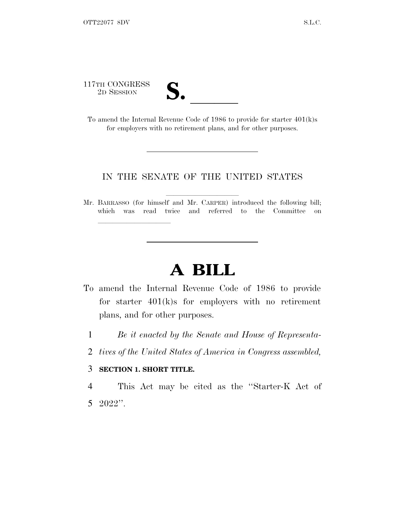117TH CONGRESS<br>2D SESSION

| N                       |  |
|-------------------------|--|
|                         |  |
| $\overline{\mathsf{v}}$ |  |
|                         |  |

17TH CONGRESS<br>
2D SESSION<br>
To amend the Internal Revenue Code of 1986 to provide for starter 401(k)s for employers with no retirement plans, and for other purposes.

## IN THE SENATE OF THE UNITED STATES

Mr. BARRASSO (for himself and Mr. CARPER) introduced the following bill; which was read twice and referred to the Committee on

## **A BILL**

- To amend the Internal Revenue Code of 1986 to provide for starter 401(k)s for employers with no retirement plans, and for other purposes.
	- 1 *Be it enacted by the Senate and House of Representa-*
	- 2 *tives of the United States of America in Congress assembled,*

## 3 **SECTION 1. SHORT TITLE.**

lla se al consegue de la consegue de la consegue de la consegue de la consegue de la consegue de la consegue d<br>La consegue de la consegue de la consegue de la consegue de la consegue de la consegue de la consegue de la co

4 This Act may be cited as the ''Starter-K Act of 5 2022''.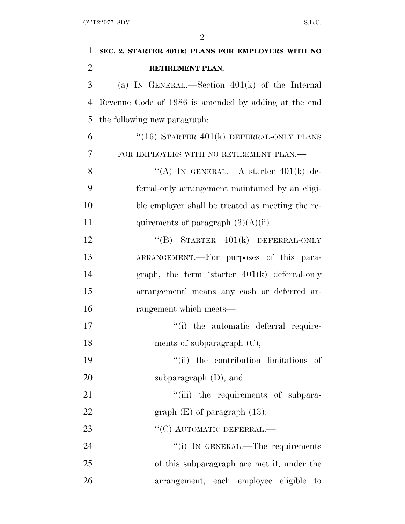| $\mathbf 1$    | SEC. 2. STARTER 401(k) PLANS FOR EMPLOYERS WITH NO   |
|----------------|------------------------------------------------------|
| $\overline{2}$ | RETIREMENT PLAN.                                     |
| 3              | (a) IN GENERAL.—Section $401(k)$ of the Internal     |
| $\overline{4}$ | Revenue Code of 1986 is amended by adding at the end |
| 5              | the following new paragraph:                         |
| 6              | " $(16)$ STARTER $401(k)$ DEFERRAL-ONLY PLANS        |
| 7              | FOR EMPLOYERS WITH NO RETIREMENT PLAN.—              |
| 8              | "(A) IN GENERAL.—A starter $401(k)$ de-              |
| 9              | ferral-only arrangement maintained by an eligi-      |
| 10             | ble employer shall be treated as meeting the re-     |
| 11             | quirements of paragraph $(3)(A)(ii)$ .               |
| 12             | "(B) STARTER $401(k)$ DEFERRAL-ONLY                  |
| 13             | ARRANGEMENT.—For purposes of this para-              |
| 14             | graph, the term 'starter $401(k)$ deferral-only      |
| 15             | arrangement' means any cash or deferred ar-          |
| 16             | rangement which meets—                               |
| 17             | "(i) the automatic deferral require-                 |
| 18             | ments of subparagraph $(C)$ ,                        |
| 19             | "(ii) the contribution limitations of                |
| 20             | subparagraph $(D)$ , and                             |
| 21             | "(iii) the requirements of subpara-                  |
| 22             | graph $(E)$ of paragraph $(13)$ .                    |
| 23             | $``$ (C) AUTOMATIC DEFERRAL.—                        |
| 24             | "(i) IN GENERAL.—The requirements                    |
| 25             | of this subparagraph are met if, under the           |
| 26             | arrangement, each employee eligible<br>to            |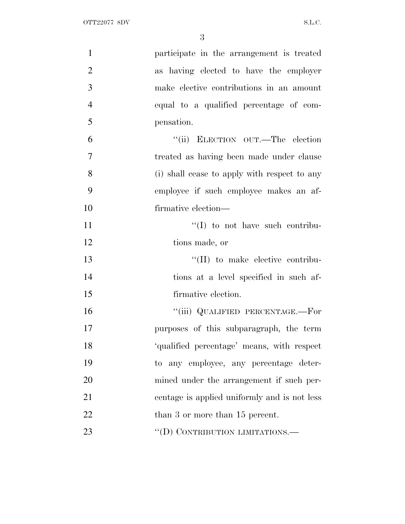| $\mathbf{1}$   | participate in the arrangement is treated    |
|----------------|----------------------------------------------|
| $\overline{2}$ | as having elected to have the employer       |
| 3              | make elective contributions in an amount     |
| $\overline{4}$ | equal to a qualified percentage of com-      |
| 5              | pensation.                                   |
| 6              | "(ii) ELECTION OUT.—The election             |
| $\overline{7}$ | treated as having been made under clause     |
| 8              | (i) shall cease to apply with respect to any |
| 9              | employee if such employee makes an af-       |
| 10             | firmative election—                          |
| 11             | "(I) to not have such contribu-              |
| 12             | tions made, or                               |
| 13             | $\lq\lq$ (II) to make elective contribu-     |
| 14             | tions at a level specified in such af-       |
| 15             | firmative election.                          |
| 16             | "(iii) QUALIFIED PERCENTAGE.—For             |
| 17             | purposes of this subparagraph, the term      |
| 18             | 'qualified percentage' means, with respect   |
| 19             | to any employee, any percentage deter-       |
| 20             | mined under the arrangement if such per-     |
| 21             | centage is applied uniformly and is not less |
| 22             | than 3 or more than 15 percent.              |
| 23             | "(D) CONTRIBUTION LIMITATIONS.—              |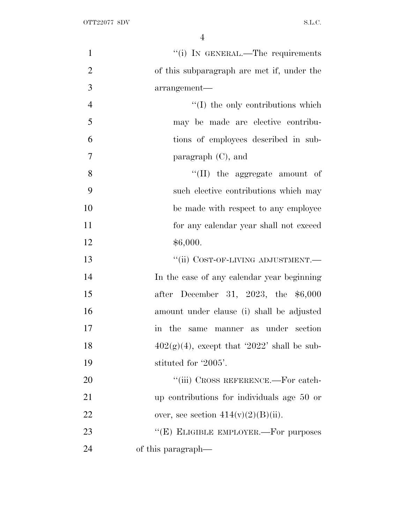| $\mathbf{1}$   | "(i) IN GENERAL.—The requirements                          |
|----------------|------------------------------------------------------------|
| $\overline{2}$ | of this subparagraph are met if, under the                 |
| 3              | arrangement-                                               |
| $\overline{4}$ | $\lq\lq$ (I) the only contributions which                  |
| 5              | may be made are elective contribu-                         |
| 6              | tions of employees described in sub-                       |
| $\overline{7}$ | paragraph $(C)$ , and                                      |
| 8              | $\lq\lq$ (II) the aggregate amount of                      |
| 9              | such elective contributions which may                      |
| 10             | be made with respect to any employee                       |
| 11             | for any calendar year shall not exceed                     |
| 12             | \$6,000.                                                   |
| 13             | "(ii) COST-OF-LIVING ADJUSTMENT.-                          |
| 14             | In the case of any calendar year beginning                 |
| 15             | after December 31, 2023, the \$6,000                       |
| 16             | amount under clause (i) shall be adjusted                  |
| 17             | same manner as under section<br>the<br>$\operatorname{in}$ |
| 18             | $402(g)(4)$ , except that '2022' shall be sub-             |
| 19             | stituted for '2005'.                                       |
| 20             | "(iii) CROSS REFERENCE.—For catch-                         |
| 21             | up contributions for individuals age 50 or                 |
| 22             | over, see section $414(v)(2)(B)(ii)$ .                     |
| 23             | "(E) ELIGIBLE EMPLOYER.—For purposes                       |
| 24             | of this paragraph—                                         |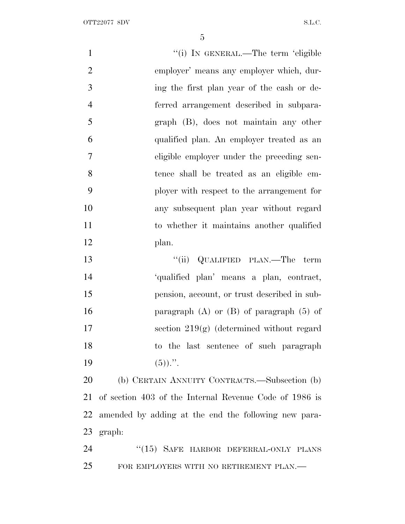| $\mathbf{1}$   | "(i) IN GENERAL.—The term 'eligible                    |
|----------------|--------------------------------------------------------|
| $\overline{2}$ | employer' means any employer which, dur-               |
| 3              | ing the first plan year of the cash or de-             |
| $\overline{4}$ | ferred arrangement described in subpara-               |
| 5              | graph (B), does not maintain any other                 |
| 6              | qualified plan. An employer treated as an              |
| 7              | eligible employer under the preceding sen-             |
| 8              | tence shall be treated as an eligible em-              |
| 9              | ployer with respect to the arrangement for             |
| 10             | any subsequent plan year without regard                |
| 11             | to whether it maintains another qualified              |
| 12             | plan.                                                  |
| 13             | "(ii) QUALIFIED PLAN.—The term                         |
| 14             | 'qualified plan' means a plan, contract,               |
| 15             | pension, account, or trust described in sub-           |
| 16             | paragraph $(A)$ or $(B)$ of paragraph $(5)$ of         |
| 17             | section $219(g)$ (determined without regard            |
| 18             | to the last sentence of such paragraph                 |
| 19             | $(5)$ ).".                                             |
| 20             | (b) CERTAIN ANNUITY CONTRACTS.—Subsection (b)          |
| 21             | of section 403 of the Internal Revenue Code of 1986 is |
| 22             | amended by adding at the end the following new para-   |
| 23             | graph:                                                 |
| 24             | $``(15)$ SAFE HARBOR DEFERRAL-ONLY PLANS               |
| 25             | FOR EMPLOYERS WITH NO RETIREMENT PLAN.—                |
|                |                                                        |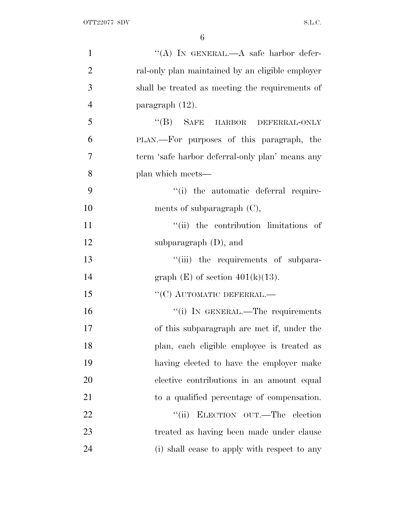| $\mathbf{1}$   | "(A) IN GENERAL.—A safe harbor defer-            |
|----------------|--------------------------------------------------|
| $\overline{2}$ | ral-only plan maintained by an eligible employer |
| 3              | shall be treated as meeting the requirements of  |
| $\overline{4}$ | paragraph $(12)$ .                               |
| 5              | "(B) SAFE HARBOR DEFERRAL-ONLY                   |
| 6              | PLAN.—For purposes of this paragraph, the        |
| $\overline{7}$ | term 'safe harbor deferral-only plan' means any  |
| 8              | plan which meets—                                |
| 9              | "(i) the automatic deferral require-             |
| 10             | ments of subparagraph $(C)$ ,                    |
| 11             | "(ii) the contribution limitations of            |
| 12             | subparagraph $(D)$ , and                         |
| 13             | "(iii) the requirements of subpara-              |
| 14             | graph $(E)$ of section $401(k)(13)$ .            |
| 15             | $``(C)$ AUTOMATIC DEFERRAL.—                     |
| 16             | "(i) IN GENERAL.—The requirements                |
| 17             | of this subparagraph are met if, under the       |
| 18             | plan, each eligible employee is treated as       |
| 19             | having elected to have the employer make         |
| 20             | elective contributions in an amount equal        |
| 21             | to a qualified percentage of compensation.       |
| 22             | ELECTION OUT.—The election<br>``(ii)             |
| 23             | treated as having been made under clause         |
| 24             | (i) shall cease to apply with respect to any     |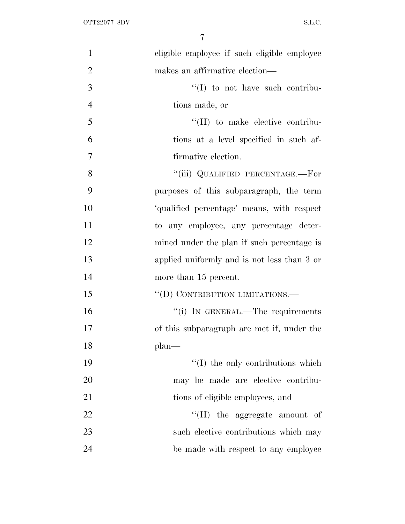| $\mathbf{1}$   | eligible employee if such eligible employee |
|----------------|---------------------------------------------|
| $\overline{2}$ | makes an affirmative election—              |
| 3              | $\lq\lq$ to not have such contribu-         |
| $\overline{4}$ | tions made, or                              |
| 5              | $\lq\lq$ (II) to make elective contribu-    |
| 6              | tions at a level specified in such af-      |
| $\overline{7}$ | firmative election.                         |
| 8              | "(iii) QUALIFIED PERCENTAGE.—For            |
| 9              | purposes of this subparagraph, the term     |
| 10             | 'qualified percentage' means, with respect  |
| 11             | to any employee, any percentage deter-      |
| 12             | mined under the plan if such percentage is  |
| 13             | applied uniformly and is not less than 3 or |
| 14             | more than 15 percent.                       |
| 15             | "(D) CONTRIBUTION LIMITATIONS.—             |
| 16             | "(i) IN GENERAL.—The requirements           |
| 17             | of this subparagraph are met if, under the  |
| 18             | plan-                                       |
| 19             | $\lq\lq$ (I) the only contributions which   |
| 20             | may be made are elective contribu-          |
| 21             | tions of eligible employees, and            |
| 22             | $\lq\lq$ (II) the aggregate amount of       |
| 23             | such elective contributions which may       |
| 24             | be made with respect to any employee        |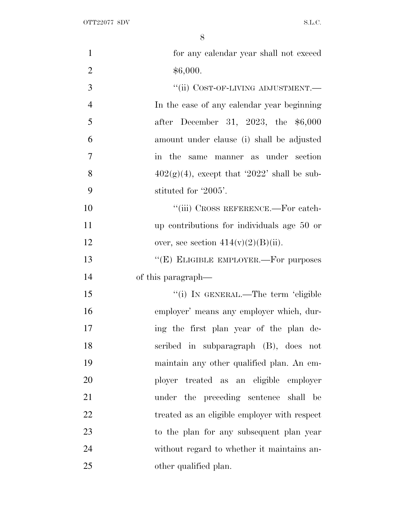| $\mathbf{1}$   | for any calendar year shall not exceed         |
|----------------|------------------------------------------------|
| $\overline{c}$ | \$6,000.                                       |
| 3              | "(ii) COST-OF-LIVING ADJUSTMENT.-              |
| $\overline{4}$ | In the case of any calendar year beginning     |
| 5              | after December 31, 2023, the \$6,000           |
| 6              | amount under clause (i) shall be adjusted      |
| $\overline{7}$ | in the<br>same manner as under section         |
| 8              | $402(g)(4)$ , except that '2022' shall be sub- |
| 9              | stituted for '2005'.                           |
| 10             | "(iii) CROSS REFERENCE.—For catch-             |
| 11             | up contributions for individuals age 50 or     |
| 12             | over, see section $414(v)(2)(B)(ii)$ .         |
| 13             | "(E) ELIGIBLE EMPLOYER.—For purposes           |
| 14             | of this paragraph—                             |
| 15             | "(i) IN GENERAL.—The term 'eligible            |
| 16             | employer' means any employer which, dur-       |
| 17             | ing the first plan year of the plan de-        |
| 18             | scribed in subparagraph (B), does not          |
| 19             | maintain any other qualified plan. An em-      |
| 20             | ployer treated as an eligible employer         |
| 21             | under the preceding sentence<br>shall be       |
| 22             | treated as an eligible employer with respect   |
| 23             | to the plan for any subsequent plan year       |
| 24             | without regard to whether it maintains an-     |
| 25             | other qualified plan.                          |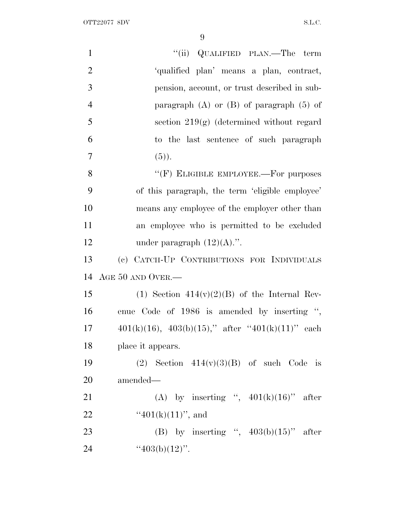| $\mathbf{1}$   | "(ii) QUALIFIED PLAN.—The term                             |
|----------------|------------------------------------------------------------|
| $\overline{2}$ | 'qualified plan' means a plan, contract,                   |
| 3              | pension, account, or trust described in sub-               |
| $\overline{4}$ | paragraph $(A)$ or $(B)$ of paragraph $(5)$ of             |
| 5              | section $219(g)$ (determined without regard                |
| 6              | to the last sentence of such paragraph                     |
| $\overline{7}$ | $(5)$ ).                                                   |
| 8              | "(F) ELIGIBLE EMPLOYEE.—For purposes                       |
| 9              | of this paragraph, the term 'eligible employee'            |
| 10             | means any employee of the employer other than              |
| 11             | an employee who is permitted to be excluded                |
| 12             | under paragraph $(12)(A)$ .".                              |
|                |                                                            |
| 13             | (c) CATCH-UP CONTRIBUTIONS FOR INDIVIDUALS                 |
| 14             | AGE 50 AND OVER.-                                          |
| 15             | (1) Section $414(v)(2)(B)$ of the Internal Rev-            |
| 16             | enue Code of 1986 is amended by inserting ",               |
| 17             | $401(k)(16)$ , $403(b)(15)$ ," after " $401(k)(11)$ " each |
| 18             | place it appears.                                          |
| 19             | (2) Section $414(v)(3)(B)$ of such Code is                 |
| 20             | amended—                                                   |
| 21             | (A) by inserting ", $401(k)(16)$ " after                   |
| 22             | " $401(k)(11)$ ", and                                      |
| 23             | (B) by inserting ", $403(b)(15)$ " after                   |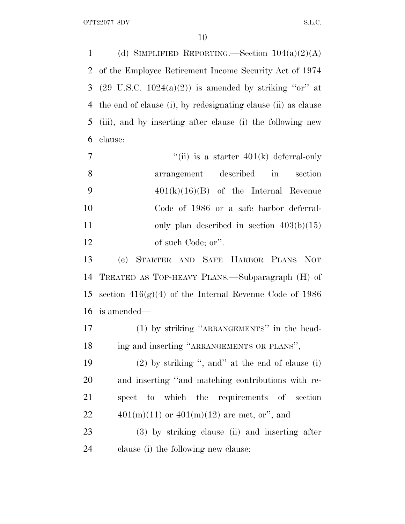1 (d) SIMPLIFIED REPORTING.—Section  $104(a)(2)(A)$  of the Employee Retirement Income Security Act of 1974 3 (29 U.S.C.  $1024(a)(2)$ ) is amended by striking "or" at the end of clause (i), by redesignating clause (ii) as clause (iii), and by inserting after clause (i) the following new clause:

| $\overline{7}$ | "(ii) is a starter $401(k)$ deferral-only   |
|----------------|---------------------------------------------|
| - 8            | arrangement described in<br>section         |
| - 9            | $401(k)(16)(B)$ of the Internal Revenue     |
| 10             | Code of 1986 or a safe harbor deferral-     |
| 11             | only plan described in section $403(b)(15)$ |
| 12             | of such Code; or".                          |

 (e) STARTER AND SAFE HARBOR PLANS NOT TREATED AS TOP-HEAVY PLANS.—Subparagraph (H) of 15 section  $416(g)(4)$  of the Internal Revenue Code of 1986 is amended—

 (1) by striking ''ARRANGEMENTS'' in the head-18 ing and inserting "ARRANGEMENTS OR PLANS",

 (2) by striking '', and'' at the end of clause (i) and inserting ''and matching contributions with re- spect to which the requirements of section  $401(m)(11)$  or  $401(m)(12)$  are met, or", and

 (3) by striking clause (ii) and inserting after clause (i) the following new clause: